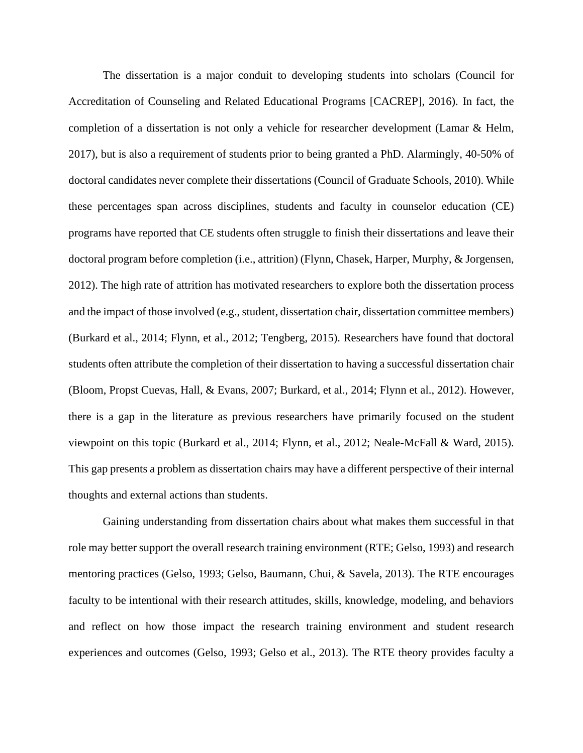The dissertation is a major conduit to developing students into scholars (Council for Accreditation of Counseling and Related Educational Programs [CACREP], 2016). In fact, the completion of a dissertation is not only a vehicle for researcher development (Lamar & Helm, 2017), but is also a requirement of students prior to being granted a PhD. Alarmingly, 40-50% of doctoral candidates never complete their dissertations (Council of Graduate Schools, 2010). While these percentages span across disciplines, students and faculty in counselor education (CE) programs have reported that CE students often struggle to finish their dissertations and leave their doctoral program before completion (i.e., attrition) (Flynn, Chasek, Harper, Murphy, & Jorgensen, 2012). The high rate of attrition has motivated researchers to explore both the dissertation process and the impact of those involved (e.g., student, dissertation chair, dissertation committee members) (Burkard et al., 2014; Flynn, et al., 2012; Tengberg, 2015). Researchers have found that doctoral students often attribute the completion of their dissertation to having a successful dissertation chair (Bloom, Propst Cuevas, Hall, & Evans, 2007; Burkard, et al., 2014; Flynn et al., 2012). However, there is a gap in the literature as previous researchers have primarily focused on the student viewpoint on this topic (Burkard et al., 2014; Flynn, et al., 2012; Neale-McFall & Ward, 2015). This gap presents a problem as dissertation chairs may have a different perspective of their internal thoughts and external actions than students.

Gaining understanding from dissertation chairs about what makes them successful in that role may better support the overall research training environment (RTE; Gelso, 1993) and research mentoring practices (Gelso, 1993; Gelso, Baumann, Chui, & Savela, 2013). The RTE encourages faculty to be intentional with their research attitudes, skills, knowledge, modeling, and behaviors and reflect on how those impact the research training environment and student research experiences and outcomes (Gelso, 1993; Gelso et al., 2013). The RTE theory provides faculty a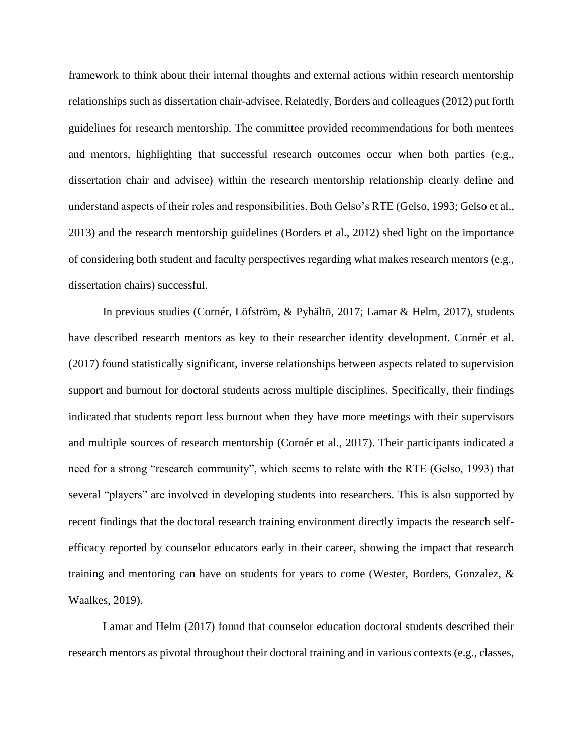framework to think about their internal thoughts and external actions within research mentorship relationships such as dissertation chair-advisee. Relatedly, Borders and colleagues (2012) put forth guidelines for research mentorship. The committee provided recommendations for both mentees and mentors, highlighting that successful research outcomes occur when both parties (e.g., dissertation chair and advisee) within the research mentorship relationship clearly define and understand aspects of their roles and responsibilities. Both Gelso's RTE (Gelso, 1993; Gelso et al., 2013) and the research mentorship guidelines (Borders et al., 2012) shed light on the importance of considering both student and faculty perspectives regarding what makes research mentors (e.g., dissertation chairs) successful.

In previous studies (Cornér, Löfström, & Pyhältö, 2017; Lamar & Helm, 2017), students have described research mentors as key to their researcher identity development. Cornér et al. (2017) found statistically significant, inverse relationships between aspects related to supervision support and burnout for doctoral students across multiple disciplines. Specifically, their findings indicated that students report less burnout when they have more meetings with their supervisors and multiple sources of research mentorship (Cornér et al., 2017). Their participants indicated a need for a strong "research community", which seems to relate with the RTE (Gelso, 1993) that several "players" are involved in developing students into researchers. This is also supported by recent findings that the doctoral research training environment directly impacts the research selfefficacy reported by counselor educators early in their career, showing the impact that research training and mentoring can have on students for years to come (Wester, Borders, Gonzalez, & Waalkes, 2019).

Lamar and Helm (2017) found that counselor education doctoral students described their research mentors as pivotal throughout their doctoral training and in various contexts (e.g., classes,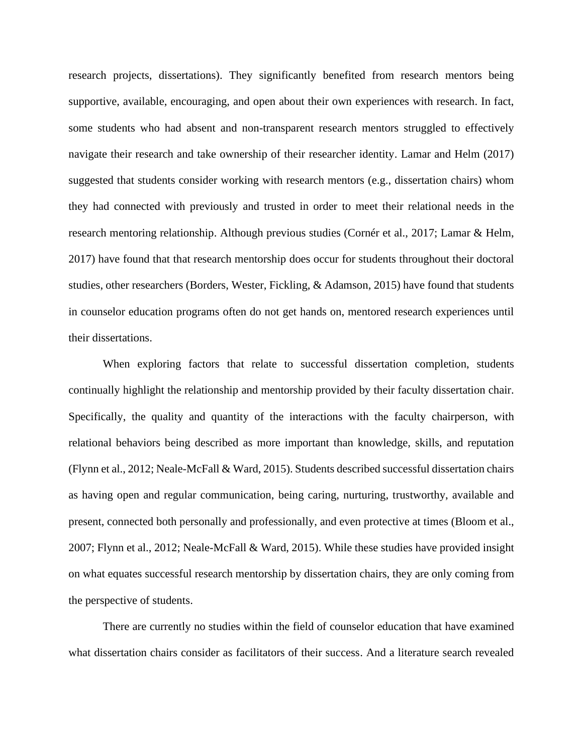research projects, dissertations). They significantly benefited from research mentors being supportive, available, encouraging, and open about their own experiences with research. In fact, some students who had absent and non-transparent research mentors struggled to effectively navigate their research and take ownership of their researcher identity. Lamar and Helm (2017) suggested that students consider working with research mentors (e.g., dissertation chairs) whom they had connected with previously and trusted in order to meet their relational needs in the research mentoring relationship. Although previous studies (Cornér et al., 2017; Lamar & Helm, 2017) have found that that research mentorship does occur for students throughout their doctoral studies, other researchers (Borders, Wester, Fickling, & Adamson, 2015) have found that students in counselor education programs often do not get hands on, mentored research experiences until their dissertations.

When exploring factors that relate to successful dissertation completion, students continually highlight the relationship and mentorship provided by their faculty dissertation chair. Specifically, the quality and quantity of the interactions with the faculty chairperson, with relational behaviors being described as more important than knowledge, skills, and reputation (Flynn et al., 2012; Neale-McFall & Ward, 2015). Students described successful dissertation chairs as having open and regular communication, being caring, nurturing, trustworthy, available and present, connected both personally and professionally, and even protective at times (Bloom et al., 2007; Flynn et al., 2012; Neale-McFall & Ward, 2015). While these studies have provided insight on what equates successful research mentorship by dissertation chairs, they are only coming from the perspective of students.

There are currently no studies within the field of counselor education that have examined what dissertation chairs consider as facilitators of their success. And a literature search revealed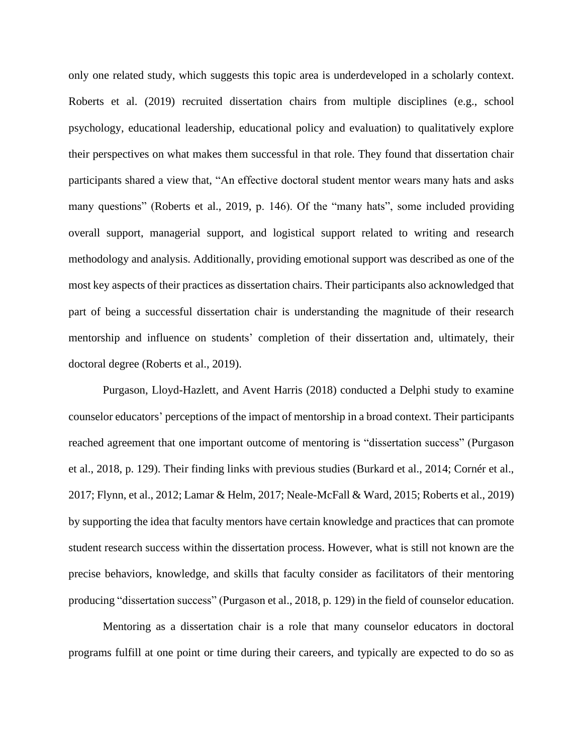only one related study, which suggests this topic area is underdeveloped in a scholarly context. Roberts et al. (2019) recruited dissertation chairs from multiple disciplines (e.g., school psychology, educational leadership, educational policy and evaluation) to qualitatively explore their perspectives on what makes them successful in that role. They found that dissertation chair participants shared a view that, "An effective doctoral student mentor wears many hats and asks many questions" (Roberts et al., 2019, p. 146). Of the "many hats", some included providing overall support, managerial support, and logistical support related to writing and research methodology and analysis. Additionally, providing emotional support was described as one of the most key aspects of their practices as dissertation chairs. Their participants also acknowledged that part of being a successful dissertation chair is understanding the magnitude of their research mentorship and influence on students' completion of their dissertation and, ultimately, their doctoral degree (Roberts et al., 2019).

Purgason, Lloyd-Hazlett, and Avent Harris (2018) conducted a Delphi study to examine counselor educators' perceptions of the impact of mentorship in a broad context. Their participants reached agreement that one important outcome of mentoring is "dissertation success" (Purgason et al., 2018, p. 129). Their finding links with previous studies (Burkard et al., 2014; Cornér et al., 2017; Flynn, et al., 2012; Lamar & Helm, 2017; Neale-McFall & Ward, 2015; Roberts et al., 2019) by supporting the idea that faculty mentors have certain knowledge and practices that can promote student research success within the dissertation process. However, what is still not known are the precise behaviors, knowledge, and skills that faculty consider as facilitators of their mentoring producing "dissertation success" (Purgason et al., 2018, p. 129) in the field of counselor education.

Mentoring as a dissertation chair is a role that many counselor educators in doctoral programs fulfill at one point or time during their careers, and typically are expected to do so as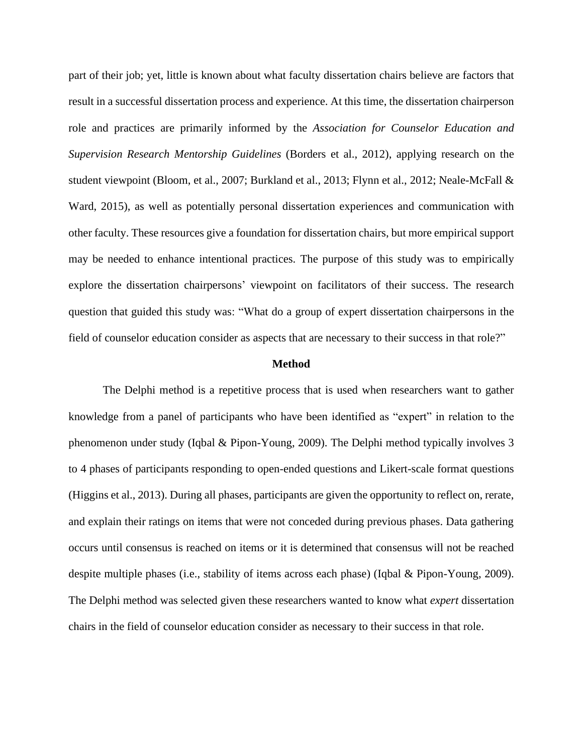part of their job; yet, little is known about what faculty dissertation chairs believe are factors that result in a successful dissertation process and experience. At this time, the dissertation chairperson role and practices are primarily informed by the *Association for Counselor Education and Supervision Research Mentorship Guidelines* (Borders et al., 2012), applying research on the student viewpoint (Bloom, et al., 2007; Burkland et al., 2013; Flynn et al., 2012; Neale-McFall & Ward, 2015), as well as potentially personal dissertation experiences and communication with other faculty. These resources give a foundation for dissertation chairs, but more empirical support may be needed to enhance intentional practices. The purpose of this study was to empirically explore the dissertation chairpersons' viewpoint on facilitators of their success. The research question that guided this study was: "What do a group of expert dissertation chairpersons in the field of counselor education consider as aspects that are necessary to their success in that role?"

#### **Method**

The Delphi method is a repetitive process that is used when researchers want to gather knowledge from a panel of participants who have been identified as "expert" in relation to the phenomenon under study (Iqbal & Pipon-Young, 2009). The Delphi method typically involves 3 to 4 phases of participants responding to open-ended questions and Likert-scale format questions (Higgins et al., 2013). During all phases, participants are given the opportunity to reflect on, rerate, and explain their ratings on items that were not conceded during previous phases. Data gathering occurs until consensus is reached on items or it is determined that consensus will not be reached despite multiple phases (i.e., stability of items across each phase) (Iqbal & Pipon-Young, 2009). The Delphi method was selected given these researchers wanted to know what *expert* dissertation chairs in the field of counselor education consider as necessary to their success in that role.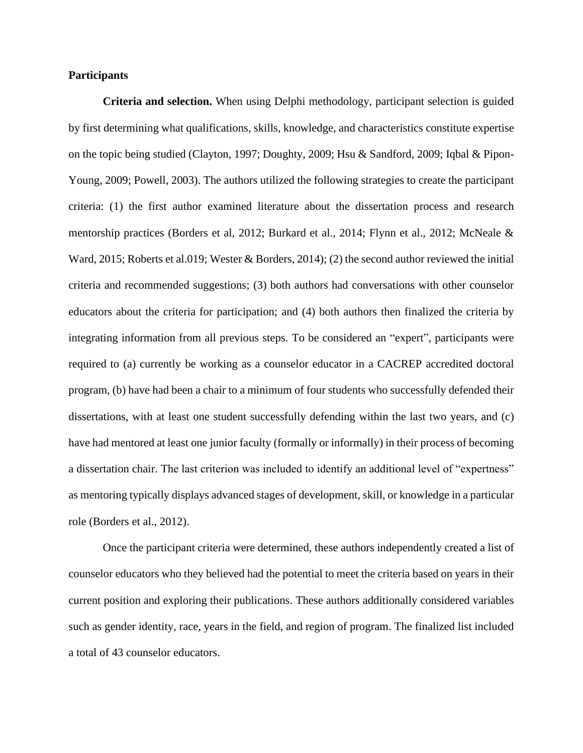# **Participants**

**Criteria and selection.** When using Delphi methodology, participant selection is guided by first determining what qualifications, skills, knowledge, and characteristics constitute expertise on the topic being studied (Clayton, 1997; Doughty, 2009; Hsu & Sandford, 2009; Iqbal & Pipon-Young, 2009; Powell, 2003). The authors utilized the following strategies to create the participant criteria: (1) the first author examined literature about the dissertation process and research mentorship practices (Borders et al, 2012; Burkard et al., 2014; Flynn et al., 2012; McNeale & Ward, 2015; Roberts et al.019; Wester & Borders, 2014); (2) the second author reviewed the initial criteria and recommended suggestions; (3) both authors had conversations with other counselor educators about the criteria for participation; and (4) both authors then finalized the criteria by integrating information from all previous steps. To be considered an "expert"*,* participants were required to (a) currently be working as a counselor educator in a CACREP accredited doctoral program, (b) have had been a chair to a minimum of four students who successfully defended their dissertations, with at least one student successfully defending within the last two years, and (c) have had mentored at least one junior faculty (formally or informally) in their process of becoming a dissertation chair. The last criterion was included to identify an additional level of "expertness" as mentoring typically displays advanced stages of development, skill, or knowledge in a particular role (Borders et al., 2012).

Once the participant criteria were determined, these authors independently created a list of counselor educators who they believed had the potential to meet the criteria based on years in their current position and exploring their publications. These authors additionally considered variables such as gender identity, race, years in the field, and region of program. The finalized list included a total of 43 counselor educators.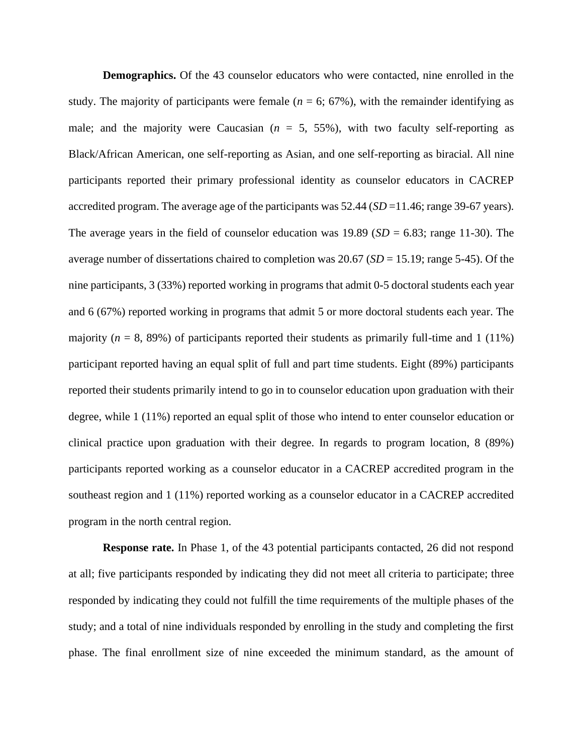**Demographics.** Of the 43 counselor educators who were contacted, nine enrolled in the study. The majority of participants were female ( $n = 6$ ; 67%), with the remainder identifying as male; and the majority were Caucasian  $(n = 5, 55\%)$ , with two faculty self-reporting as Black/African American, one self-reporting as Asian, and one self-reporting as biracial. All nine participants reported their primary professional identity as counselor educators in CACREP accredited program. The average age of the participants was 52.44 (*SD* =11.46; range 39-67 years). The average years in the field of counselor education was 19.89 (*SD* = 6.83; range 11-30). The average number of dissertations chaired to completion was 20.67 (*SD* = 15.19; range 5-45). Of the nine participants, 3 (33%) reported working in programs that admit 0-5 doctoral students each year and 6 (67%) reported working in programs that admit 5 or more doctoral students each year. The majority ( $n = 8$ , 89%) of participants reported their students as primarily full-time and 1 (11%) participant reported having an equal split of full and part time students. Eight (89%) participants reported their students primarily intend to go in to counselor education upon graduation with their degree, while 1 (11%) reported an equal split of those who intend to enter counselor education or clinical practice upon graduation with their degree. In regards to program location, 8 (89%) participants reported working as a counselor educator in a CACREP accredited program in the southeast region and 1 (11%) reported working as a counselor educator in a CACREP accredited program in the north central region.

**Response rate.** In Phase 1, of the 43 potential participants contacted, 26 did not respond at all; five participants responded by indicating they did not meet all criteria to participate; three responded by indicating they could not fulfill the time requirements of the multiple phases of the study; and a total of nine individuals responded by enrolling in the study and completing the first phase. The final enrollment size of nine exceeded the minimum standard, as the amount of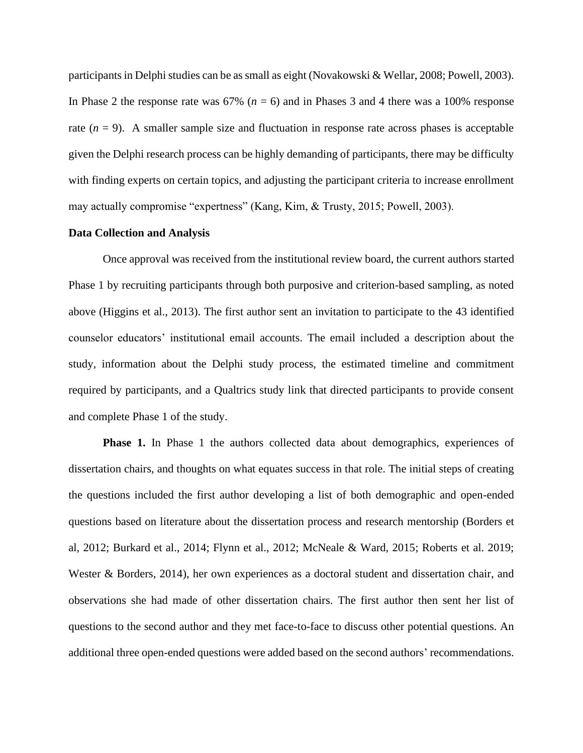participants in Delphi studies can be as small as eight (Novakowski & Wellar, 2008; Powell, 2003). In Phase 2 the response rate was 67% (*n* = 6) and in Phases 3 and 4 there was a 100% response rate  $(n = 9)$ . A smaller sample size and fluctuation in response rate across phases is acceptable given the Delphi research process can be highly demanding of participants, there may be difficulty with finding experts on certain topics, and adjusting the participant criteria to increase enrollment may actually compromise "expertness" (Kang, Kim, & Trusty, 2015; Powell, 2003).

#### **Data Collection and Analysis**

Once approval was received from the institutional review board, the current authors started Phase 1 by recruiting participants through both purposive and criterion-based sampling, as noted above (Higgins et al., 2013). The first author sent an invitation to participate to the 43 identified counselor educators' institutional email accounts. The email included a description about the study, information about the Delphi study process, the estimated timeline and commitment required by participants, and a Qualtrics study link that directed participants to provide consent and complete Phase 1 of the study.

**Phase 1.** In Phase 1 the authors collected data about demographics, experiences of dissertation chairs, and thoughts on what equates success in that role. The initial steps of creating the questions included the first author developing a list of both demographic and open-ended questions based on literature about the dissertation process and research mentorship (Borders et al, 2012; Burkard et al., 2014; Flynn et al., 2012; McNeale & Ward, 2015; Roberts et al. 2019; Wester & Borders, 2014), her own experiences as a doctoral student and dissertation chair, and observations she had made of other dissertation chairs. The first author then sent her list of questions to the second author and they met face-to-face to discuss other potential questions. An additional three open-ended questions were added based on the second authors' recommendations.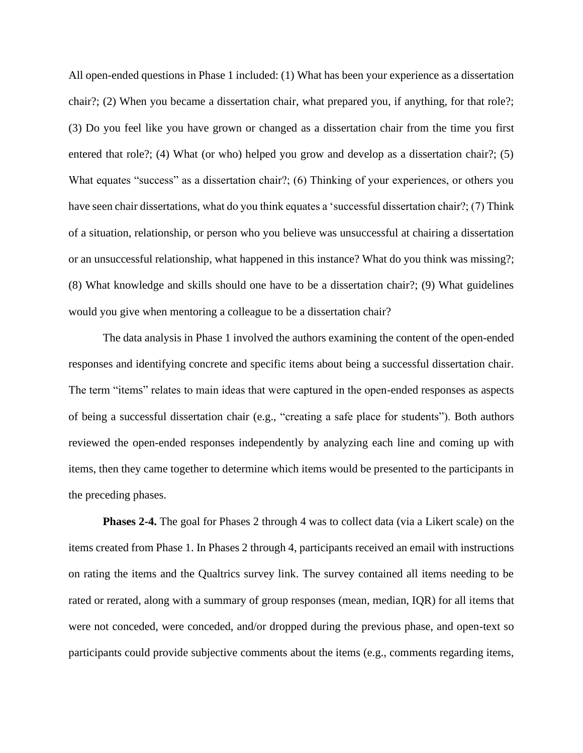All open-ended questions in Phase 1 included: (1) What has been your experience as a dissertation chair?; (2) When you became a dissertation chair, what prepared you, if anything, for that role?; (3) Do you feel like you have grown or changed as a dissertation chair from the time you first entered that role?; (4) What (or who) helped you grow and develop as a dissertation chair?; (5) What equates "success" as a dissertation chair?; (6) Thinking of your experiences, or others you have seen chair dissertations, what do you think equates a 'successful dissertation chair?; (7) Think of a situation, relationship, or person who you believe was unsuccessful at chairing a dissertation or an unsuccessful relationship, what happened in this instance? What do you think was missing?; (8) What knowledge and skills should one have to be a dissertation chair?; (9) What guidelines would you give when mentoring a colleague to be a dissertation chair?

The data analysis in Phase 1 involved the authors examining the content of the open-ended responses and identifying concrete and specific items about being a successful dissertation chair. The term "items" relates to main ideas that were captured in the open-ended responses as aspects of being a successful dissertation chair (e.g., "creating a safe place for students"). Both authors reviewed the open-ended responses independently by analyzing each line and coming up with items, then they came together to determine which items would be presented to the participants in the preceding phases.

**Phases 2-4.** The goal for Phases 2 through 4 was to collect data (via a Likert scale) on the items created from Phase 1. In Phases 2 through 4, participants received an email with instructions on rating the items and the Qualtrics survey link. The survey contained all items needing to be rated or rerated, along with a summary of group responses (mean, median, IQR) for all items that were not conceded, were conceded, and/or dropped during the previous phase, and open-text so participants could provide subjective comments about the items (e.g., comments regarding items,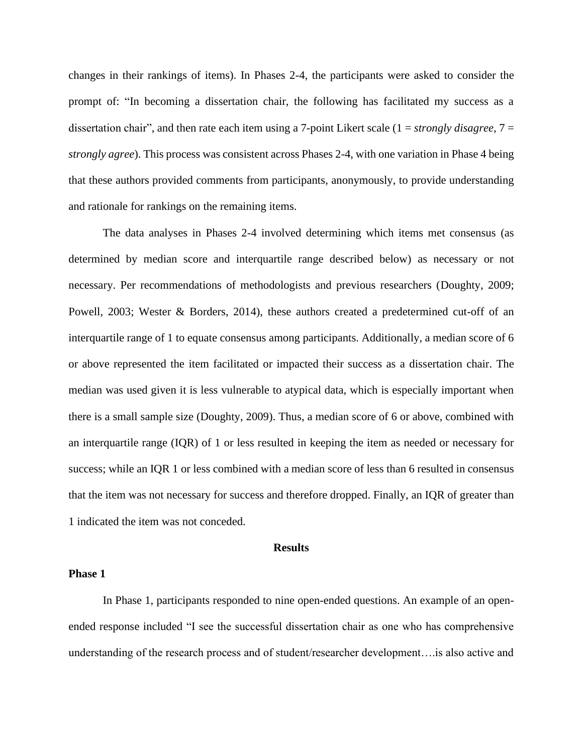changes in their rankings of items). In Phases 2-4, the participants were asked to consider the prompt of: "In becoming a dissertation chair, the following has facilitated my success as a dissertation chair", and then rate each item using a 7-point Likert scale (1 = *strongly disagree*, 7 = *strongly agree*). This process was consistent across Phases 2-4, with one variation in Phase 4 being that these authors provided comments from participants, anonymously, to provide understanding and rationale for rankings on the remaining items.

The data analyses in Phases 2-4 involved determining which items met consensus (as determined by median score and interquartile range described below) as necessary or not necessary. Per recommendations of methodologists and previous researchers (Doughty, 2009; Powell, 2003; Wester & Borders, 2014), these authors created a predetermined cut-off of an interquartile range of 1 to equate consensus among participants. Additionally, a median score of 6 or above represented the item facilitated or impacted their success as a dissertation chair. The median was used given it is less vulnerable to atypical data, which is especially important when there is a small sample size (Doughty, 2009). Thus, a median score of 6 or above, combined with an interquartile range (IQR) of 1 or less resulted in keeping the item as needed or necessary for success; while an IQR 1 or less combined with a median score of less than 6 resulted in consensus that the item was not necessary for success and therefore dropped. Finally, an IQR of greater than 1 indicated the item was not conceded.

#### **Results**

# **Phase 1**

In Phase 1, participants responded to nine open-ended questions. An example of an openended response included "I see the successful dissertation chair as one who has comprehensive understanding of the research process and of student/researcher development….is also active and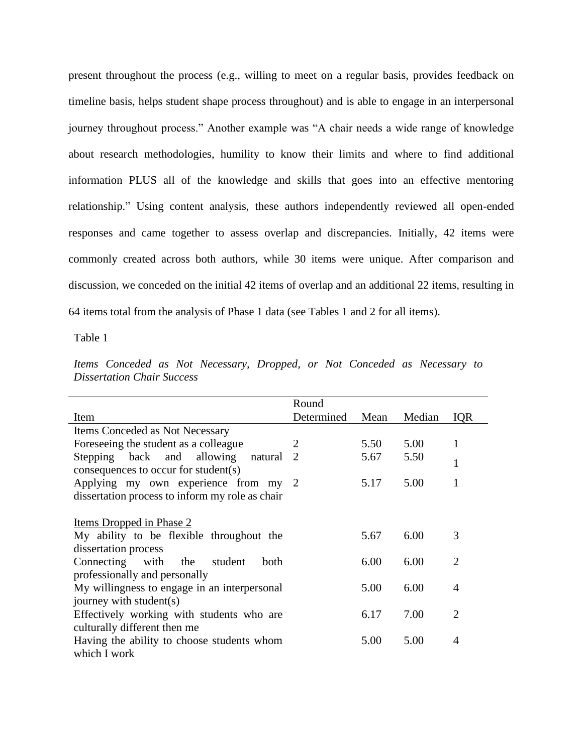present throughout the process (e.g., willing to meet on a regular basis, provides feedback on timeline basis, helps student shape process throughout) and is able to engage in an interpersonal journey throughout process." Another example was "A chair needs a wide range of knowledge about research methodologies, humility to know their limits and where to find additional information PLUS all of the knowledge and skills that goes into an effective mentoring relationship." Using content analysis, these authors independently reviewed all open-ended responses and came together to assess overlap and discrepancies. Initially, 42 items were commonly created across both authors, while 30 items were unique. After comparison and discussion, we conceded on the initial 42 items of overlap and an additional 22 items, resulting in 64 items total from the analysis of Phase 1 data (see Tables 1 and 2 for all items).

Table 1

|                                   |  |  |  | Items Conceded as Not Necessary, Dropped, or Not Conceded as Necessary to |  |  |  |  |  |  |  |
|-----------------------------------|--|--|--|---------------------------------------------------------------------------|--|--|--|--|--|--|--|
| <b>Dissertation Chair Success</b> |  |  |  |                                                                           |  |  |  |  |  |  |  |

|                                                                                                                                 | Round      |      |        |                |
|---------------------------------------------------------------------------------------------------------------------------------|------------|------|--------|----------------|
| Item                                                                                                                            | Determined | Mean | Median | <b>IQR</b>     |
| <b>Items Conceded as Not Necessary</b>                                                                                          |            |      |        |                |
| Foreseeing the student as a colleague.                                                                                          | 2          | 5.50 | 5.00   | 1              |
| Stepping back and allowing<br>natural 2                                                                                         |            | 5.67 | 5.50   | 1              |
| consequences to occur for student(s)<br>Applying my own experience from my 2<br>dissertation process to inform my role as chair |            | 5.17 | 5.00   | 1              |
| <u>Items Dropped in Phase 2</u>                                                                                                 |            |      |        |                |
| My ability to be flexible throughout the                                                                                        |            | 5.67 | 6.00   | 3              |
| dissertation process                                                                                                            |            |      |        |                |
| Connecting with the<br>student<br>both                                                                                          |            | 6.00 | 6.00   | $\overline{2}$ |
| professionally and personally                                                                                                   |            |      |        |                |
| My willingness to engage in an interpersonal                                                                                    |            | 5.00 | 6.00   | 4              |
| journey with student(s)                                                                                                         |            |      |        |                |
| Effectively working with students who are                                                                                       |            | 6.17 | 7.00   | $\mathfrak{D}$ |
| culturally different then me                                                                                                    |            |      |        |                |
| Having the ability to choose students whom                                                                                      |            | 5.00 | 5.00   | 4              |
| which I work                                                                                                                    |            |      |        |                |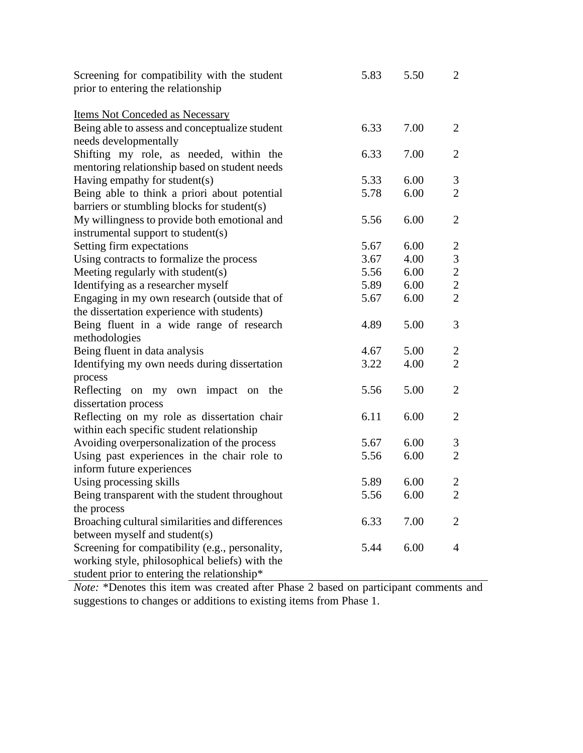| Screening for compatibility with the student    | 5.83 | 5.50 | $\overline{2}$ |
|-------------------------------------------------|------|------|----------------|
| prior to entering the relationship              |      |      |                |
| <b>Items Not Conceded as Necessary</b>          |      |      |                |
| Being able to assess and conceptualize student  | 6.33 | 7.00 | 2              |
| needs developmentally                           |      |      |                |
| Shifting my role, as needed, within the         | 6.33 | 7.00 | $\overline{2}$ |
| mentoring relationship based on student needs   |      |      |                |
| Having empathy for student(s)                   | 5.33 | 6.00 | 3              |
| Being able to think a priori about potential    | 5.78 | 6.00 | $\overline{2}$ |
| barriers or stumbling blocks for student(s)     |      |      |                |
| My willingness to provide both emotional and    | 5.56 | 6.00 | $\overline{2}$ |
| instrumental support to student(s)              |      |      |                |
| Setting firm expectations                       | 5.67 | 6.00 | $\overline{2}$ |
| Using contracts to formalize the process        | 3.67 | 4.00 | $\mathfrak{Z}$ |
| Meeting regularly with student(s)               | 5.56 | 6.00 | $\overline{c}$ |
| Identifying as a researcher myself              | 5.89 | 6.00 | $\overline{2}$ |
| Engaging in my own research (outside that of    | 5.67 | 6.00 | $\overline{2}$ |
| the dissertation experience with students)      |      |      |                |
| Being fluent in a wide range of research        | 4.89 | 5.00 | 3              |
| methodologies                                   |      |      |                |
| Being fluent in data analysis                   | 4.67 | 5.00 | $\overline{2}$ |
| Identifying my own needs during dissertation    | 3.22 | 4.00 | $\overline{2}$ |
| process                                         |      |      |                |
| Reflecting on my own impact on the              | 5.56 | 5.00 | $\overline{2}$ |
| dissertation process                            |      |      |                |
| Reflecting on my role as dissertation chair     | 6.11 | 6.00 | $\overline{2}$ |
| within each specific student relationship       |      |      |                |
| Avoiding overpersonalization of the process     | 5.67 | 6.00 | 3              |
| Using past experiences in the chair role to     | 5.56 | 6.00 | $\overline{2}$ |
| inform future experiences                       |      |      |                |
| Using processing skills                         | 5.89 | 6.00 | $\overline{2}$ |
| Being transparent with the student throughout   | 5.56 | 6.00 | $\overline{2}$ |
| the process                                     |      |      |                |
| Broaching cultural similarities and differences | 6.33 | 7.00 | $\overline{2}$ |
| between myself and student(s)                   |      |      |                |
| Screening for compatibility (e.g., personality, | 5.44 | 6.00 | $\overline{4}$ |
| working style, philosophical beliefs) with the  |      |      |                |
| student prior to entering the relationship*     |      |      |                |

*Note:* \*Denotes this item was created after Phase 2 based on participant comments and suggestions to changes or additions to existing items from Phase 1.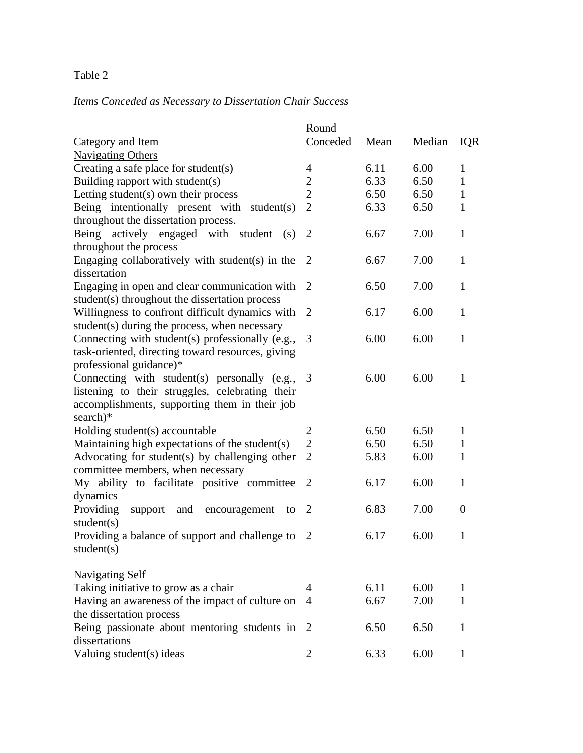# Table 2

# *Items Conceded as Necessary to Dissertation Chair Success*

|                                                                                                                                                              | Round          |      |        |                |
|--------------------------------------------------------------------------------------------------------------------------------------------------------------|----------------|------|--------|----------------|
| Category and Item                                                                                                                                            | Conceded       | Mean | Median | <b>IQR</b>     |
| <b>Navigating Others</b>                                                                                                                                     |                |      |        |                |
| Creating a safe place for student(s)                                                                                                                         | 4              | 6.11 | 6.00   | $\mathbf{1}$   |
| Building rapport with student(s)                                                                                                                             | $\overline{c}$ | 6.33 | 6.50   | $\mathbf{1}$   |
| Letting student(s) own their process                                                                                                                         | $\overline{c}$ | 6.50 | 6.50   | $\mathbf{1}$   |
| Being intentionally present with student(s)<br>throughout the dissertation process.                                                                          | $\overline{2}$ | 6.33 | 6.50   | $\mathbf{1}$   |
| Being actively engaged with student<br>(s)<br>throughout the process                                                                                         | $\overline{2}$ | 6.67 | 7.00   | $\mathbf{1}$   |
| Engaging collaboratively with student(s) in the<br>dissertation                                                                                              | 2              | 6.67 | 7.00   | $\mathbf{1}$   |
| Engaging in open and clear communication with 2<br>student(s) throughout the dissertation process                                                            |                | 6.50 | 7.00   | $\mathbf{1}$   |
| Willingness to confront difficult dynamics with<br>student(s) during the process, when necessary                                                             | 2              | 6.17 | 6.00   | $\mathbf{1}$   |
| Connecting with student(s) professionally (e.g.,<br>task-oriented, directing toward resources, giving<br>professional guidance)*                             | 3              | 6.00 | 6.00   | $\mathbf{1}$   |
| Connecting with student(s) personally (e.g.,<br>listening to their struggles, celebrating their<br>accomplishments, supporting them in their job<br>search)* | 3              | 6.00 | 6.00   | $\mathbf{1}$   |
| Holding student(s) accountable                                                                                                                               | $\overline{2}$ | 6.50 | 6.50   | $\mathbf{1}$   |
| Maintaining high expectations of the student(s)                                                                                                              | $\overline{2}$ | 6.50 | 6.50   | $\mathbf{1}$   |
| Advocating for student(s) by challenging other<br>committee members, when necessary                                                                          | $\overline{2}$ | 5.83 | 6.00   | $\mathbf{1}$   |
| My ability to facilitate positive committee<br>dynamics                                                                                                      | $\overline{2}$ | 6.17 | 6.00   | $\mathbf{1}$   |
| Providing<br>support and encouragement<br>to<br>student(s)                                                                                                   | $\overline{2}$ | 6.83 | 7.00   | $\overline{0}$ |
| Providing a balance of support and challenge to<br>student(s)                                                                                                | $\overline{2}$ | 6.17 | 6.00   | $\mathbf{1}$   |
| <b>Navigating Self</b>                                                                                                                                       |                |      |        |                |
| Taking initiative to grow as a chair                                                                                                                         | 4              | 6.11 | 6.00   | 1              |
| Having an awareness of the impact of culture on<br>the dissertation process                                                                                  | 4              | 6.67 | 7.00   | 1              |
| Being passionate about mentoring students in<br>dissertations                                                                                                | $\overline{2}$ | 6.50 | 6.50   | 1              |
| Valuing student(s) ideas                                                                                                                                     | $\overline{2}$ | 6.33 | 6.00   | $\mathbf{1}$   |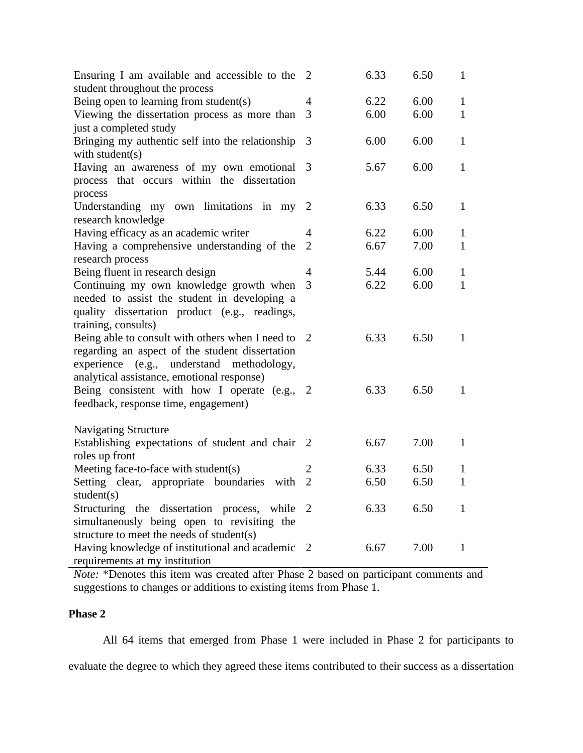| Ensuring I am available and accessible to the 2<br>student throughout the process |                | 6.33 | 6.50 | $\mathbf{1}$ |
|-----------------------------------------------------------------------------------|----------------|------|------|--------------|
| Being open to learning from student(s)                                            | 4              | 6.22 | 6.00 | $\mathbf{1}$ |
| Viewing the dissertation process as more than                                     | 3              | 6.00 | 6.00 | $\mathbf{1}$ |
| just a completed study                                                            |                |      |      |              |
| Bringing my authentic self into the relationship                                  | 3              | 6.00 | 6.00 | $\mathbf{1}$ |
| with student $(s)$                                                                |                |      |      |              |
| Having an awareness of my own emotional                                           | 3              | 5.67 | 6.00 | $\mathbf{1}$ |
| process that occurs within the dissertation                                       |                |      |      |              |
| process                                                                           |                |      |      |              |
| Understanding my own limitations in my                                            | <sup>2</sup>   | 6.33 | 6.50 | $\mathbf{1}$ |
| research knowledge                                                                |                |      |      |              |
| Having efficacy as an academic writer                                             | 4              | 6.22 | 6.00 | 1            |
| Having a comprehensive understanding of the                                       | $\overline{2}$ | 6.67 | 7.00 | $\mathbf{1}$ |
| research process                                                                  |                |      |      |              |
| Being fluent in research design                                                   | $\overline{4}$ | 5.44 | 6.00 | $\mathbf{1}$ |
| Continuing my own knowledge growth when                                           | 3              | 6.22 | 6.00 | $\mathbf{1}$ |
| needed to assist the student in developing a                                      |                |      |      |              |
| quality dissertation product (e.g., readings,                                     |                |      |      |              |
| training, consults)                                                               |                |      |      |              |
| Being able to consult with others when I need to                                  | <sup>2</sup>   | 6.33 | 6.50 | 1            |
| regarding an aspect of the student dissertation                                   |                |      |      |              |
| experience (e.g., understand methodology,                                         |                |      |      |              |
| analytical assistance, emotional response)                                        |                |      |      |              |
| Being consistent with how I operate (e.g., 2                                      |                | 6.33 | 6.50 | $\mathbf{1}$ |
| feedback, response time, engagement)                                              |                |      |      |              |
|                                                                                   |                |      |      |              |
| <b>Navigating Structure</b>                                                       |                |      |      |              |
| Establishing expectations of student and chair 2                                  |                | 6.67 | 7.00 | $\mathbf{1}$ |
| roles up front                                                                    |                |      |      |              |
| Meeting face-to-face with student(s)                                              | $\overline{2}$ | 6.33 | 6.50 | 1            |
| Setting clear, appropriate boundaries with                                        | $\overline{2}$ | 6.50 | 6.50 | $\mathbf{1}$ |
| student(s)                                                                        |                |      |      |              |
| Structuring the dissertation process, while                                       | 2              | 6.33 | 6.50 | 1            |
| simultaneously being open to revisiting the                                       |                |      |      |              |
| structure to meet the needs of student(s)                                         |                |      |      |              |
| Having knowledge of institutional and academic                                    | 2              | 6.67 | 7.00 | 1            |
| requirements at my institution                                                    |                |      |      |              |

*Note:* \*Denotes this item was created after Phase 2 based on participant comments and suggestions to changes or additions to existing items from Phase 1.

# **Phase 2**

All 64 items that emerged from Phase 1 were included in Phase 2 for participants to evaluate the degree to which they agreed these items contributed to their success as a dissertation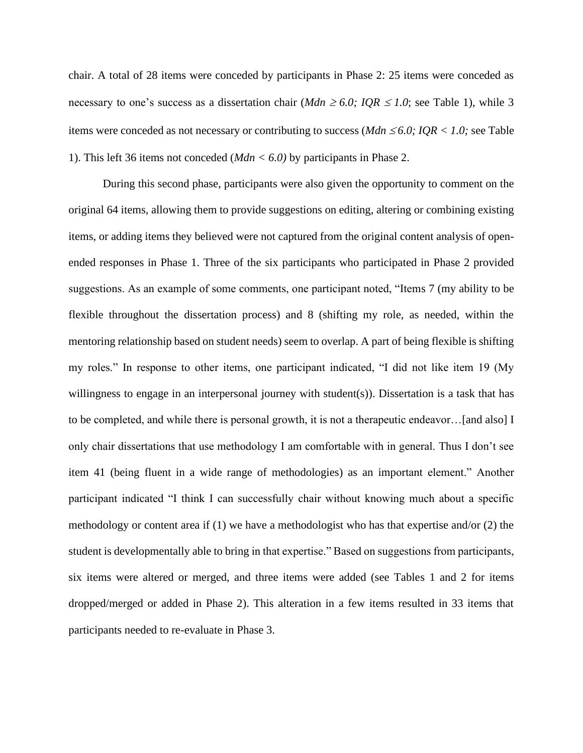chair. A total of 28 items were conceded by participants in Phase 2: 25 items were conceded as necessary to one's success as a dissertation chair (*Mdn*  $\geq 6.0$ ; *IQR*  $\leq 1.0$ ; see Table 1), while 3 items were conceded as not necessary or contributing to success ( $Mdn \leq 6.0$ ; IQR < 1.0; see Table 1). This left 36 items not conceded (*Mdn < 6.0)* by participants in Phase 2.

During this second phase, participants were also given the opportunity to comment on the original 64 items, allowing them to provide suggestions on editing, altering or combining existing items, or adding items they believed were not captured from the original content analysis of openended responses in Phase 1. Three of the six participants who participated in Phase 2 provided suggestions. As an example of some comments, one participant noted, "Items 7 (my ability to be flexible throughout the dissertation process) and 8 (shifting my role, as needed, within the mentoring relationship based on student needs) seem to overlap. A part of being flexible is shifting my roles." In response to other items, one participant indicated, "I did not like item 19 (My willingness to engage in an interpersonal journey with student(s)). Dissertation is a task that has to be completed, and while there is personal growth, it is not a therapeutic endeavor…[and also] I only chair dissertations that use methodology I am comfortable with in general. Thus I don't see item 41 (being fluent in a wide range of methodologies) as an important element." Another participant indicated "I think I can successfully chair without knowing much about a specific methodology or content area if (1) we have a methodologist who has that expertise and/or (2) the student is developmentally able to bring in that expertise." Based on suggestions from participants, six items were altered or merged, and three items were added (see Tables 1 and 2 for items dropped/merged or added in Phase 2). This alteration in a few items resulted in 33 items that participants needed to re-evaluate in Phase 3.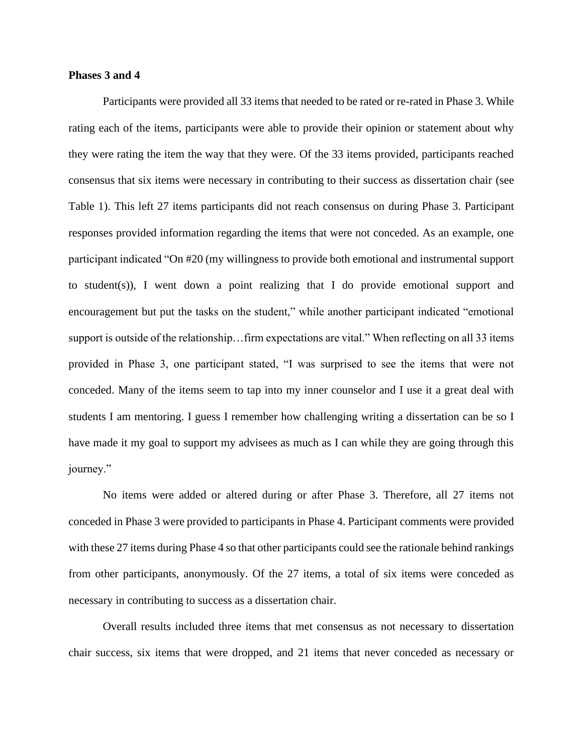## **Phases 3 and 4**

Participants were provided all 33 items that needed to be rated or re-rated in Phase 3. While rating each of the items, participants were able to provide their opinion or statement about why they were rating the item the way that they were. Of the 33 items provided, participants reached consensus that six items were necessary in contributing to their success as dissertation chair (see Table 1). This left 27 items participants did not reach consensus on during Phase 3. Participant responses provided information regarding the items that were not conceded. As an example, one participant indicated "On #20 (my willingness to provide both emotional and instrumental support to student(s)), I went down a point realizing that I do provide emotional support and encouragement but put the tasks on the student," while another participant indicated "emotional support is outside of the relationship…firm expectations are vital." When reflecting on all 33 items provided in Phase 3, one participant stated, "I was surprised to see the items that were not conceded. Many of the items seem to tap into my inner counselor and I use it a great deal with students I am mentoring. I guess I remember how challenging writing a dissertation can be so I have made it my goal to support my advisees as much as I can while they are going through this journey."

No items were added or altered during or after Phase 3. Therefore, all 27 items not conceded in Phase 3 were provided to participants in Phase 4. Participant comments were provided with these 27 items during Phase 4 so that other participants could see the rationale behind rankings from other participants, anonymously. Of the 27 items, a total of six items were conceded as necessary in contributing to success as a dissertation chair.

Overall results included three items that met consensus as not necessary to dissertation chair success, six items that were dropped, and 21 items that never conceded as necessary or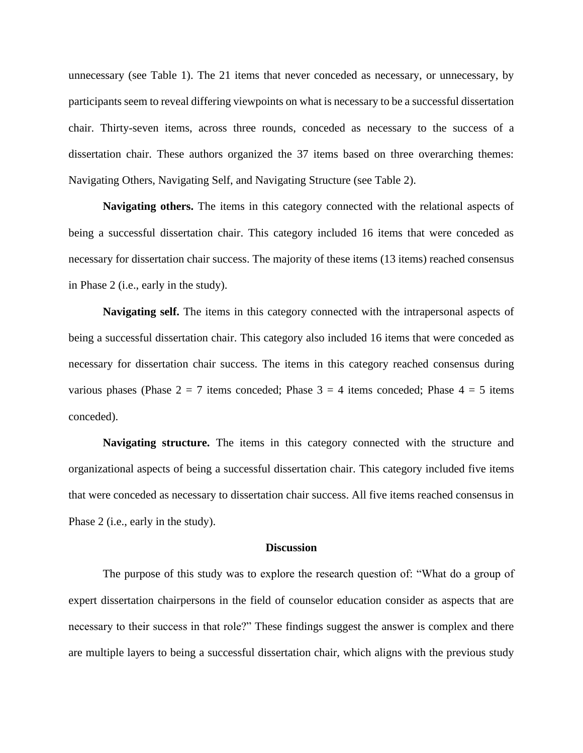unnecessary (see Table 1). The 21 items that never conceded as necessary, or unnecessary, by participants seem to reveal differing viewpoints on what is necessary to be a successful dissertation chair. Thirty-seven items, across three rounds, conceded as necessary to the success of a dissertation chair. These authors organized the 37 items based on three overarching themes: Navigating Others, Navigating Self, and Navigating Structure (see Table 2).

**Navigating others.** The items in this category connected with the relational aspects of being a successful dissertation chair. This category included 16 items that were conceded as necessary for dissertation chair success. The majority of these items (13 items) reached consensus in Phase 2 (i.e., early in the study).

**Navigating self.** The items in this category connected with the intrapersonal aspects of being a successful dissertation chair. This category also included 16 items that were conceded as necessary for dissertation chair success. The items in this category reached consensus during various phases (Phase  $2 = 7$  items conceded; Phase  $3 = 4$  items conceded; Phase  $4 = 5$  items conceded).

**Navigating structure.** The items in this category connected with the structure and organizational aspects of being a successful dissertation chair. This category included five items that were conceded as necessary to dissertation chair success. All five items reached consensus in Phase 2 (i.e., early in the study).

#### **Discussion**

The purpose of this study was to explore the research question of: "What do a group of expert dissertation chairpersons in the field of counselor education consider as aspects that are necessary to their success in that role?" These findings suggest the answer is complex and there are multiple layers to being a successful dissertation chair, which aligns with the previous study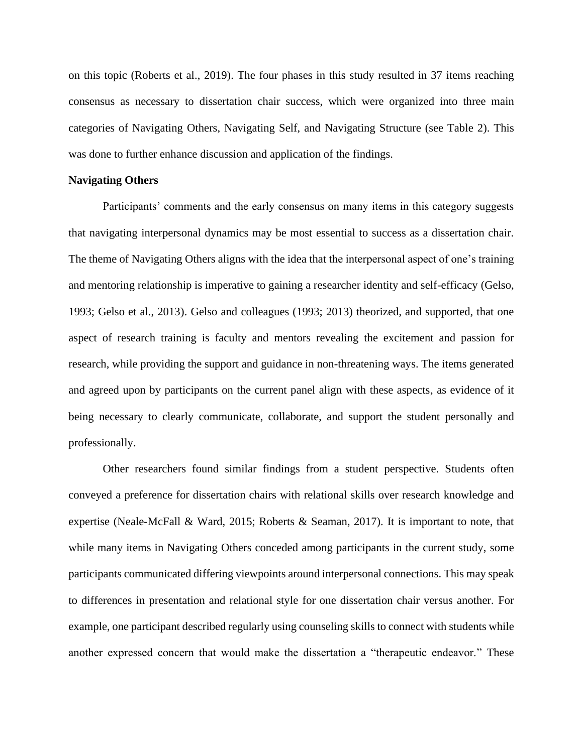on this topic (Roberts et al., 2019). The four phases in this study resulted in 37 items reaching consensus as necessary to dissertation chair success, which were organized into three main categories of Navigating Others, Navigating Self, and Navigating Structure (see Table 2). This was done to further enhance discussion and application of the findings.

#### **Navigating Others**

Participants' comments and the early consensus on many items in this category suggests that navigating interpersonal dynamics may be most essential to success as a dissertation chair. The theme of Navigating Others aligns with the idea that the interpersonal aspect of one's training and mentoring relationship is imperative to gaining a researcher identity and self-efficacy (Gelso, 1993; Gelso et al., 2013). Gelso and colleagues (1993; 2013) theorized, and supported, that one aspect of research training is faculty and mentors revealing the excitement and passion for research, while providing the support and guidance in non-threatening ways. The items generated and agreed upon by participants on the current panel align with these aspects, as evidence of it being necessary to clearly communicate, collaborate, and support the student personally and professionally.

Other researchers found similar findings from a student perspective. Students often conveyed a preference for dissertation chairs with relational skills over research knowledge and expertise (Neale-McFall & Ward, 2015; Roberts & Seaman, 2017). It is important to note, that while many items in Navigating Others conceded among participants in the current study, some participants communicated differing viewpoints around interpersonal connections. This may speak to differences in presentation and relational style for one dissertation chair versus another. For example, one participant described regularly using counseling skills to connect with students while another expressed concern that would make the dissertation a "therapeutic endeavor." These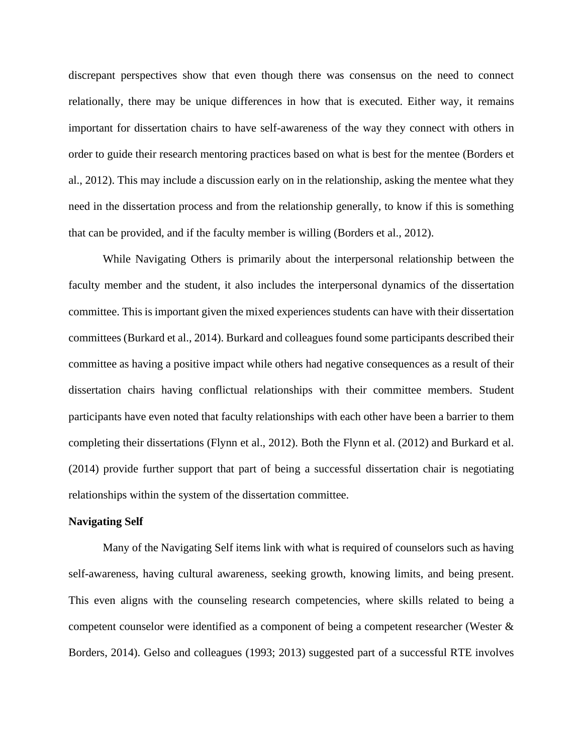discrepant perspectives show that even though there was consensus on the need to connect relationally, there may be unique differences in how that is executed. Either way, it remains important for dissertation chairs to have self-awareness of the way they connect with others in order to guide their research mentoring practices based on what is best for the mentee (Borders et al., 2012). This may include a discussion early on in the relationship, asking the mentee what they need in the dissertation process and from the relationship generally, to know if this is something that can be provided, and if the faculty member is willing (Borders et al., 2012).

While Navigating Others is primarily about the interpersonal relationship between the faculty member and the student, it also includes the interpersonal dynamics of the dissertation committee. This is important given the mixed experiences students can have with their dissertation committees (Burkard et al., 2014). Burkard and colleagues found some participants described their committee as having a positive impact while others had negative consequences as a result of their dissertation chairs having conflictual relationships with their committee members. Student participants have even noted that faculty relationships with each other have been a barrier to them completing their dissertations (Flynn et al., 2012). Both the Flynn et al. (2012) and Burkard et al. (2014) provide further support that part of being a successful dissertation chair is negotiating relationships within the system of the dissertation committee.

# **Navigating Self**

Many of the Navigating Self items link with what is required of counselors such as having self-awareness, having cultural awareness, seeking growth, knowing limits, and being present. This even aligns with the counseling research competencies, where skills related to being a competent counselor were identified as a component of being a competent researcher (Wester & Borders, 2014). Gelso and colleagues (1993; 2013) suggested part of a successful RTE involves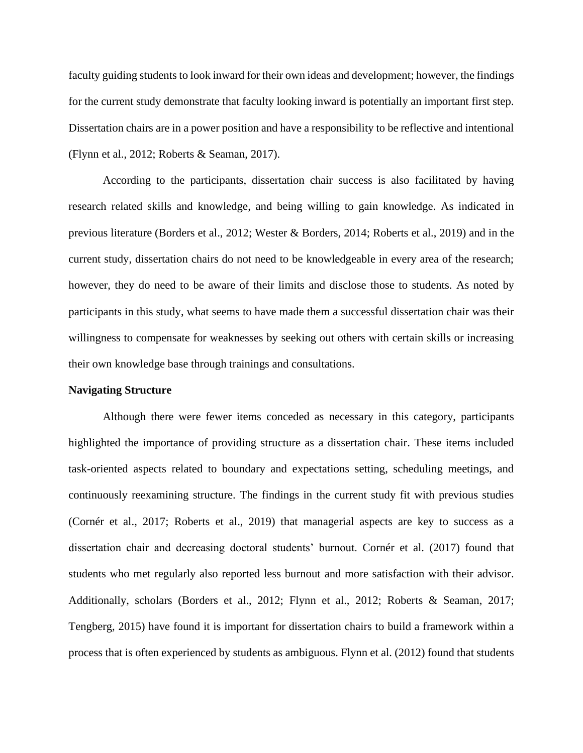faculty guiding students to look inward for their own ideas and development; however, the findings for the current study demonstrate that faculty looking inward is potentially an important first step. Dissertation chairs are in a power position and have a responsibility to be reflective and intentional (Flynn et al., 2012; Roberts & Seaman, 2017).

According to the participants, dissertation chair success is also facilitated by having research related skills and knowledge, and being willing to gain knowledge. As indicated in previous literature (Borders et al., 2012; Wester & Borders, 2014; Roberts et al., 2019) and in the current study, dissertation chairs do not need to be knowledgeable in every area of the research; however, they do need to be aware of their limits and disclose those to students. As noted by participants in this study, what seems to have made them a successful dissertation chair was their willingness to compensate for weaknesses by seeking out others with certain skills or increasing their own knowledge base through trainings and consultations.

#### **Navigating Structure**

Although there were fewer items conceded as necessary in this category, participants highlighted the importance of providing structure as a dissertation chair. These items included task-oriented aspects related to boundary and expectations setting, scheduling meetings, and continuously reexamining structure. The findings in the current study fit with previous studies (Cornér et al., 2017; Roberts et al., 2019) that managerial aspects are key to success as a dissertation chair and decreasing doctoral students' burnout. Cornér et al. (2017) found that students who met regularly also reported less burnout and more satisfaction with their advisor. Additionally, scholars (Borders et al., 2012; Flynn et al., 2012; Roberts & Seaman, 2017; Tengberg, 2015) have found it is important for dissertation chairs to build a framework within a process that is often experienced by students as ambiguous. Flynn et al. (2012) found that students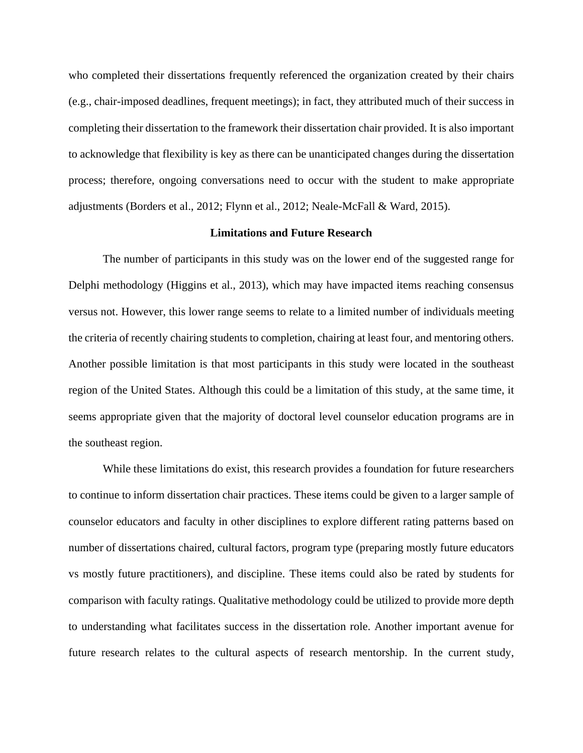who completed their dissertations frequently referenced the organization created by their chairs (e.g., chair-imposed deadlines, frequent meetings); in fact, they attributed much of their success in completing their dissertation to the framework their dissertation chair provided. It is also important to acknowledge that flexibility is key as there can be unanticipated changes during the dissertation process; therefore, ongoing conversations need to occur with the student to make appropriate adjustments (Borders et al., 2012; Flynn et al., 2012; Neale-McFall & Ward, 2015).

## **Limitations and Future Research**

The number of participants in this study was on the lower end of the suggested range for Delphi methodology (Higgins et al., 2013), which may have impacted items reaching consensus versus not. However, this lower range seems to relate to a limited number of individuals meeting the criteria of recently chairing students to completion, chairing at least four, and mentoring others. Another possible limitation is that most participants in this study were located in the southeast region of the United States. Although this could be a limitation of this study, at the same time, it seems appropriate given that the majority of doctoral level counselor education programs are in the southeast region.

While these limitations do exist, this research provides a foundation for future researchers to continue to inform dissertation chair practices. These items could be given to a larger sample of counselor educators and faculty in other disciplines to explore different rating patterns based on number of dissertations chaired, cultural factors, program type (preparing mostly future educators vs mostly future practitioners), and discipline. These items could also be rated by students for comparison with faculty ratings. Qualitative methodology could be utilized to provide more depth to understanding what facilitates success in the dissertation role. Another important avenue for future research relates to the cultural aspects of research mentorship. In the current study,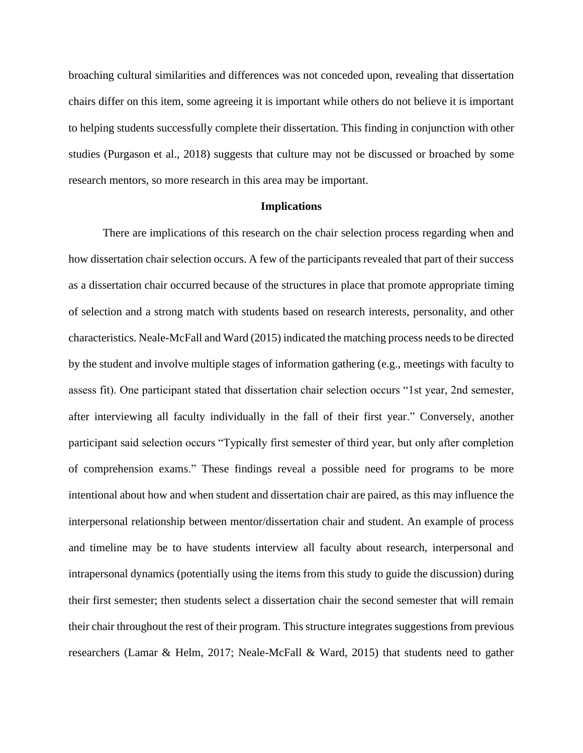broaching cultural similarities and differences was not conceded upon, revealing that dissertation chairs differ on this item, some agreeing it is important while others do not believe it is important to helping students successfully complete their dissertation. This finding in conjunction with other studies (Purgason et al., 2018) suggests that culture may not be discussed or broached by some research mentors, so more research in this area may be important.

## **Implications**

There are implications of this research on the chair selection process regarding when and how dissertation chair selection occurs. A few of the participants revealed that part of their success as a dissertation chair occurred because of the structures in place that promote appropriate timing of selection and a strong match with students based on research interests, personality, and other characteristics. Neale-McFall and Ward (2015) indicated the matching process needs to be directed by the student and involve multiple stages of information gathering (e.g., meetings with faculty to assess fit). One participant stated that dissertation chair selection occurs "1st year, 2nd semester, after interviewing all faculty individually in the fall of their first year." Conversely, another participant said selection occurs "Typically first semester of third year, but only after completion of comprehension exams." These findings reveal a possible need for programs to be more intentional about how and when student and dissertation chair are paired, as this may influence the interpersonal relationship between mentor/dissertation chair and student. An example of process and timeline may be to have students interview all faculty about research, interpersonal and intrapersonal dynamics (potentially using the items from this study to guide the discussion) during their first semester; then students select a dissertation chair the second semester that will remain their chair throughout the rest of their program. This structure integrates suggestions from previous researchers (Lamar & Helm, 2017; Neale-McFall & Ward, 2015) that students need to gather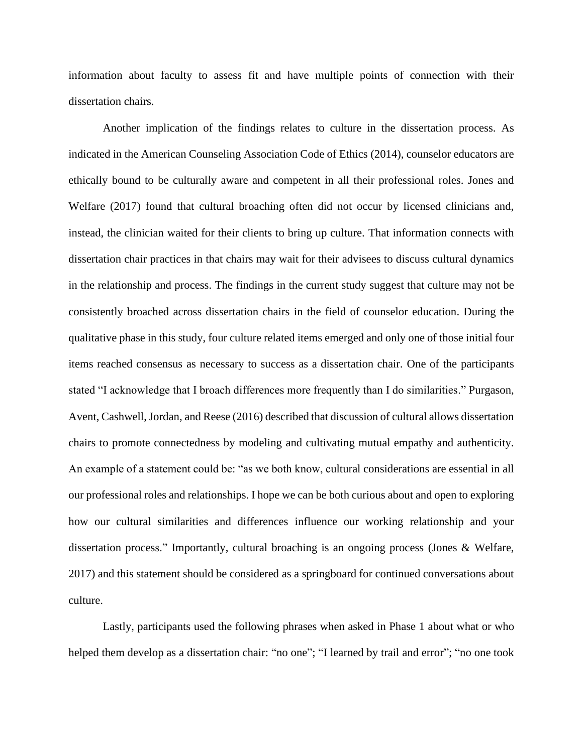information about faculty to assess fit and have multiple points of connection with their dissertation chairs.

Another implication of the findings relates to culture in the dissertation process. As indicated in the American Counseling Association Code of Ethics (2014), counselor educators are ethically bound to be culturally aware and competent in all their professional roles. Jones and Welfare (2017) found that cultural broaching often did not occur by licensed clinicians and, instead, the clinician waited for their clients to bring up culture. That information connects with dissertation chair practices in that chairs may wait for their advisees to discuss cultural dynamics in the relationship and process. The findings in the current study suggest that culture may not be consistently broached across dissertation chairs in the field of counselor education. During the qualitative phase in this study, four culture related items emerged and only one of those initial four items reached consensus as necessary to success as a dissertation chair. One of the participants stated "I acknowledge that I broach differences more frequently than I do similarities." Purgason, Avent, Cashwell, Jordan, and Reese (2016) described that discussion of cultural allows dissertation chairs to promote connectedness by modeling and cultivating mutual empathy and authenticity. An example of a statement could be: "as we both know, cultural considerations are essential in all our professional roles and relationships. I hope we can be both curious about and open to exploring how our cultural similarities and differences influence our working relationship and your dissertation process." Importantly, cultural broaching is an ongoing process (Jones & Welfare, 2017) and this statement should be considered as a springboard for continued conversations about culture.

Lastly, participants used the following phrases when asked in Phase 1 about what or who helped them develop as a dissertation chair: "no one"; "I learned by trail and error"; "no one took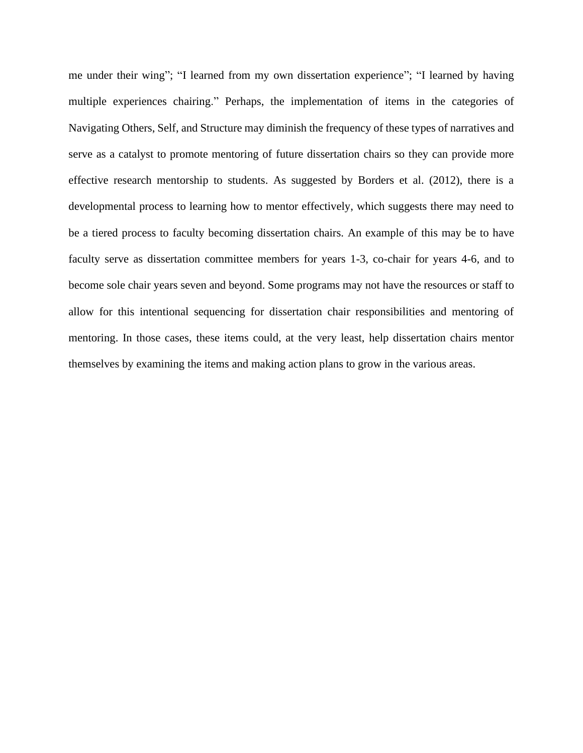me under their wing"; "I learned from my own dissertation experience"; "I learned by having multiple experiences chairing." Perhaps, the implementation of items in the categories of Navigating Others, Self, and Structure may diminish the frequency of these types of narratives and serve as a catalyst to promote mentoring of future dissertation chairs so they can provide more effective research mentorship to students. As suggested by Borders et al. (2012), there is a developmental process to learning how to mentor effectively, which suggests there may need to be a tiered process to faculty becoming dissertation chairs. An example of this may be to have faculty serve as dissertation committee members for years 1-3, co-chair for years 4-6, and to become sole chair years seven and beyond. Some programs may not have the resources or staff to allow for this intentional sequencing for dissertation chair responsibilities and mentoring of mentoring. In those cases, these items could, at the very least, help dissertation chairs mentor themselves by examining the items and making action plans to grow in the various areas.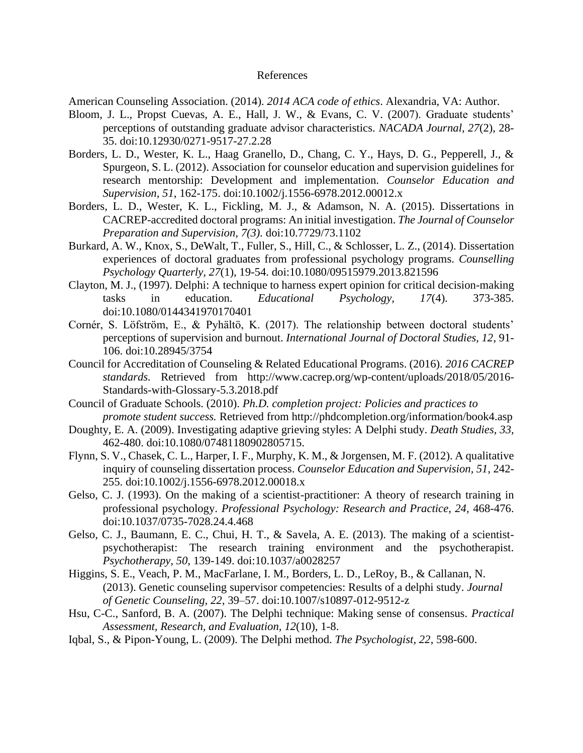# References

American Counseling Association. (2014). *2014 ACA code of ethics*. Alexandria, VA: Author.

- Bloom, J. L., Propst Cuevas, A. E., Hall, J. W., & Evans, C. V. (2007). Graduate students' perceptions of outstanding graduate advisor characteristics. *NACADA Journal, 27*(2), 28- 35. doi:10.12930/0271-9517-27.2.28
- Borders, L. D., Wester, K. L., Haag Granello, D., Chang, C. Y., Hays, D. G., Pepperell, J., & Spurgeon, S. L. (2012). Association for counselor education and supervision guidelines for research mentorship: Development and implementation. *Counselor Education and Supervision, 51*, 162-175. doi:10.1002/j.1556-6978.2012.00012.x
- Borders, L. D., Wester, K. L., Fickling, M. J., & Adamson, N. A. (2015). Dissertations in CACREP-accredited doctoral programs: An initial investigation. *The Journal of Counselor Preparation and Supervision, 7(3).* doi:10.7729/73.1102
- Burkard, A. W., Knox, S., DeWalt, T., Fuller, S., Hill, C., & Schlosser, L. Z., (2014). Dissertation experiences of doctoral graduates from professional psychology programs. *Counselling Psychology Quarterly, 27*(1), 19-54. doi:10.1080/09515979.2013.821596
- Clayton, M. J., (1997). Delphi: A technique to harness expert opinion for critical decision-making tasks in education. *Educational Psychology, 17*(4). 373-385. doi:10.1080/0144341970170401
- Cornér, S. Löfström, E., & Pyhältö, K. (2017). The relationship between doctoral students' perceptions of supervision and burnout. *International Journal of Doctoral Studies, 12*, 91- 106. doi:10.28945/3754
- Council for Accreditation of Counseling & Related Educational Programs. (2016). *2016 CACREP standards.* Retrieved from http://www.cacrep.org/wp-content/uploads/2018/05/2016- Standards-with-Glossary-5.3.2018.pdf
- Council of Graduate Schools. (2010). *Ph.D. completion project: Policies and practices to promote student success.* Retrieved from<http://phdcompletion.org/information/book4.asp>
- Doughty, E. A. (2009). Investigating adaptive grieving styles: A Delphi study. *Death Studies, 33,* 462-480. doi:10.1080/07481180902805715.
- Flynn, S. V., Chasek, C. L., Harper, I. F., Murphy, K. M., & Jorgensen, M. F. (2012). A qualitative inquiry of counseling dissertation process. *Counselor Education and Supervision, 51*, 242- 255. doi:10.1002/j.1556-6978.2012.00018.x
- Gelso, C. J. (1993). On the making of a scientist-practitioner: A theory of research training in professional psychology. *Professional Psychology: Research and Practice, 24,* 468-476. doi:10.1037/0735-7028.24.4.468
- Gelso, C. J., Baumann, E. C., Chui, H. T., & Savela, A. E. (2013). The making of a scientistpsychotherapist: The research training environment and the psychotherapist. *Psychotherapy, 50,* 139-149. doi:10.1037/a0028257
- Higgins, S. E., Veach, P. M., MacFarlane, I. M., Borders, L. D., LeRoy, B., & Callanan, N. (2013). Genetic counseling supervisor competencies: Results of a delphi study. *Journal of Genetic Counseling, 22,* 39–57. doi:10.1007/s10897-012-9512-z
- Hsu, C-C., Sanford, B. A. (2007). The Delphi technique: Making sense of consensus. *Practical Assessment, Research, and Evaluation, 12*(10), 1-8.
- Iqbal, S., & Pipon-Young, L. (2009). The Delphi method. *The Psychologist, 22*, 598-600.